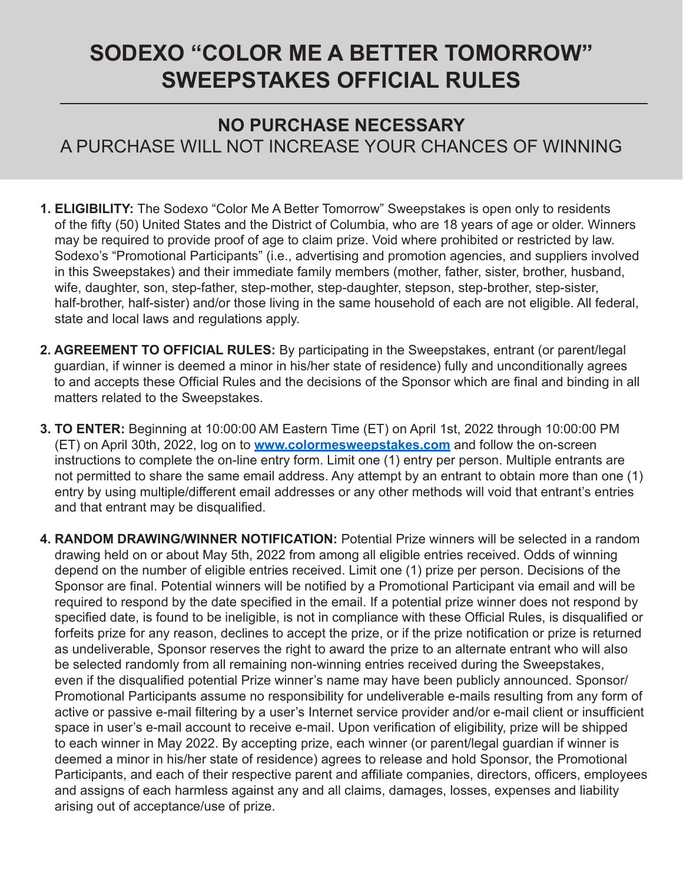## **SODEXO "COLOR ME A BETTER TOMORROW" SWEEPSTAKES OFFICIAL RULES**

## **NO PURCHASE NECESSARY** A PURCHASE WILL NOT INCREASE YOUR CHANCES OF WINNING

- **1. ELIGIBILITY:** The Sodexo "Color Me A Better Tomorrow" Sweepstakes is open only to residents of the fifty (50) United States and the District of Columbia, who are 18 years of age or older. Winners may be required to provide proof of age to claim prize. Void where prohibited or restricted by law. Sodexo's "Promotional Participants" (i.e., advertising and promotion agencies, and suppliers involved in this Sweepstakes) and their immediate family members (mother, father, sister, brother, husband, wife, daughter, son, step-father, step-mother, step-daughter, stepson, step-brother, step-sister, half-brother, half-sister) and/or those living in the same household of each are not eligible. All federal, state and local laws and regulations apply.
- **2. AGREEMENT TO OFFICIAL RULES:** By participating in the Sweepstakes, entrant (or parent/legal guardian, if winner is deemed a minor in his/her state of residence) fully and unconditionally agrees to and accepts these Official Rules and the decisions of the Sponsor which are final and binding in all matters related to the Sweepstakes.
- **3. TO ENTER:** Beginning at 10:00:00 AM Eastern Time (ET) on April 1st, 2022 through 10:00:00 PM (ET) on April 30th, 2022, log on to **www.colormesweepstakes.com** and follow the on-screen instructions to complete the on-line entry form. Limit one (1) entry per person. Multiple entrants are not permitted to share the same email address. Any attempt by an entrant to obtain more than one (1) entry by using multiple/different email addresses or any other methods will void that entrant's entries and that entrant may be disqualified.
- **4. RANDOM DRAWING/WINNER NOTIFICATION:** Potential Prize winners will be selected in a random drawing held on or about May 5th, 2022 from among all eligible entries received. Odds of winning depend on the number of eligible entries received. Limit one (1) prize per person. Decisions of the Sponsor are final. Potential winners will be notified by a Promotional Participant via email and will be required to respond by the date specified in the email. If a potential prize winner does not respond by specified date, is found to be ineligible, is not in compliance with these Official Rules, is disqualified or forfeits prize for any reason, declines to accept the prize, or if the prize notification or prize is returned as undeliverable, Sponsor reserves the right to award the prize to an alternate entrant who will also be selected randomly from all remaining non-winning entries received during the Sweepstakes, even if the disqualified potential Prize winner's name may have been publicly announced. Sponsor/ Promotional Participants assume no responsibility for undeliverable e-mails resulting from any form of active or passive e-mail filtering by a user's Internet service provider and/or e-mail client or insufficient space in user's e-mail account to receive e-mail. Upon verification of eligibility, prize will be shipped to each winner in May 2022. By accepting prize, each winner (or parent/legal guardian if winner is deemed a minor in his/her state of residence) agrees to release and hold Sponsor, the Promotional Participants, and each of their respective parent and affiliate companies, directors, officers, employees and assigns of each harmless against any and all claims, damages, losses, expenses and liability arising out of acceptance/use of prize.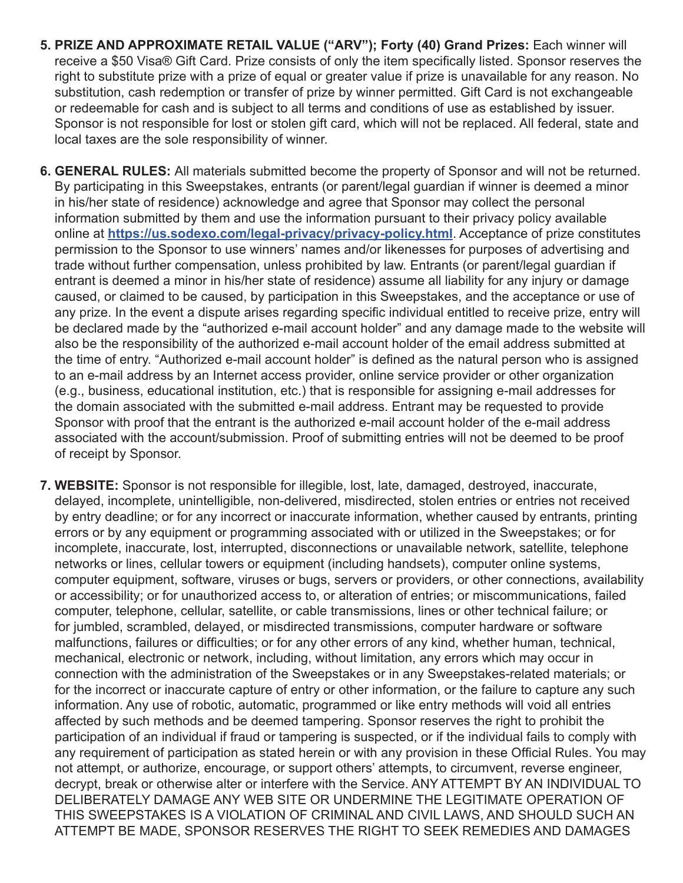- **5. PRIZE AND APPROXIMATE RETAIL VALUE ("ARV"); Forty (40) Grand Prizes:** Each winner will receive a \$50 Visa® Gift Card. Prize consists of only the item specifically listed. Sponsor reserves the right to substitute prize with a prize of equal or greater value if prize is unavailable for any reason. No substitution, cash redemption or transfer of prize by winner permitted. Gift Card is not exchangeable or redeemable for cash and is subject to all terms and conditions of use as established by issuer. Sponsor is not responsible for lost or stolen gift card, which will not be replaced. All federal, state and local taxes are the sole responsibility of winner.
- **6. GENERAL RULES:** All materials submitted become the property of Sponsor and will not be returned. By participating in this Sweepstakes, entrants (or parent/legal guardian if winner is deemed a minor in his/her state of residence) acknowledge and agree that Sponsor may collect the personal information submitted by them and use the information pursuant to their privacy policy available online at **https://us.sodexo.com/legal-privacy/privacy-policy.html**. Acceptance of prize constitutes permission to the Sponsor to use winners' names and/or likenesses for purposes of advertising and trade without further compensation, unless prohibited by law. Entrants (or parent/legal guardian if entrant is deemed a minor in his/her state of residence) assume all liability for any injury or damage caused, or claimed to be caused, by participation in this Sweepstakes, and the acceptance or use of any prize. In the event a dispute arises regarding specific individual entitled to receive prize, entry will be declared made by the "authorized e-mail account holder" and any damage made to the website will also be the responsibility of the authorized e-mail account holder of the email address submitted at the time of entry. "Authorized e-mail account holder" is defined as the natural person who is assigned to an e-mail address by an Internet access provider, online service provider or other organization (e.g., business, educational institution, etc.) that is responsible for assigning e-mail addresses for the domain associated with the submitted e-mail address. Entrant may be requested to provide Sponsor with proof that the entrant is the authorized e-mail account holder of the e-mail address associated with the account/submission. Proof of submitting entries will not be deemed to be proof of receipt by Sponsor.
- **7. WEBSITE:** Sponsor is not responsible for illegible, lost, late, damaged, destroyed, inaccurate, delayed, incomplete, unintelligible, non-delivered, misdirected, stolen entries or entries not received by entry deadline; or for any incorrect or inaccurate information, whether caused by entrants, printing errors or by any equipment or programming associated with or utilized in the Sweepstakes; or for incomplete, inaccurate, lost, interrupted, disconnections or unavailable network, satellite, telephone networks or lines, cellular towers or equipment (including handsets), computer online systems, computer equipment, software, viruses or bugs, servers or providers, or other connections, availability or accessibility; or for unauthorized access to, or alteration of entries; or miscommunications, failed computer, telephone, cellular, satellite, or cable transmissions, lines or other technical failure; or for jumbled, scrambled, delayed, or misdirected transmissions, computer hardware or software malfunctions, failures or difficulties; or for any other errors of any kind, whether human, technical, mechanical, electronic or network, including, without limitation, any errors which may occur in connection with the administration of the Sweepstakes or in any Sweepstakes-related materials; or for the incorrect or inaccurate capture of entry or other information, or the failure to capture any such information. Any use of robotic, automatic, programmed or like entry methods will void all entries affected by such methods and be deemed tampering. Sponsor reserves the right to prohibit the participation of an individual if fraud or tampering is suspected, or if the individual fails to comply with any requirement of participation as stated herein or with any provision in these Official Rules. You may not attempt, or authorize, encourage, or support others' attempts, to circumvent, reverse engineer, decrypt, break or otherwise alter or interfere with the Service. ANY ATTEMPT BY AN INDIVIDUAL TO DELIBERATELY DAMAGE ANY WEB SITE OR UNDERMINE THE LEGITIMATE OPERATION OF THIS SWEEPSTAKES IS A VIOLATION OF CRIMINAL AND CIVIL LAWS, AND SHOULD SUCH AN ATTEMPT BE MADE, SPONSOR RESERVES THE RIGHT TO SEEK REMEDIES AND DAMAGES